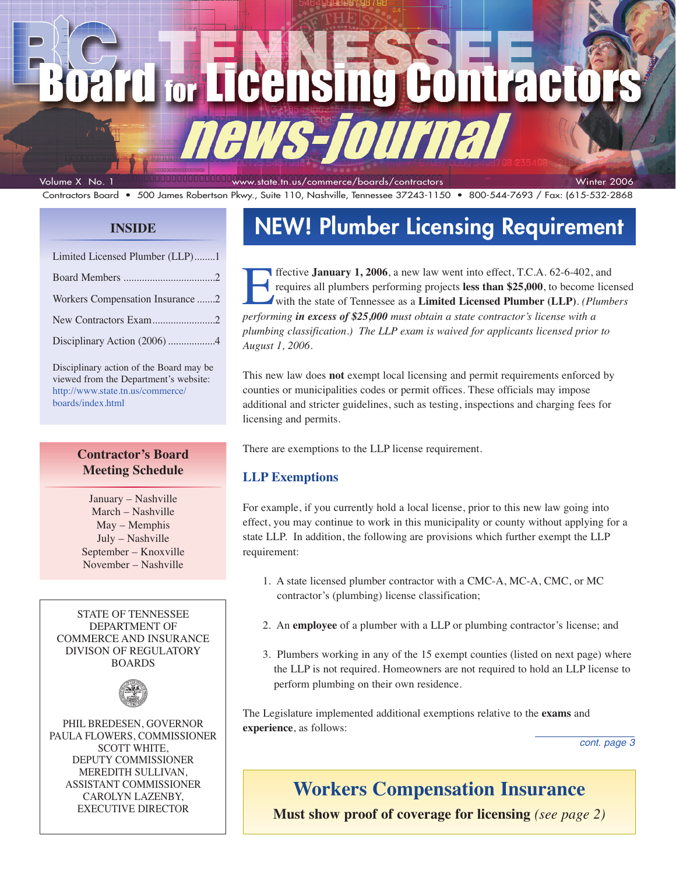## **Dard for Licensing LEONITACI**

Volume X No. 1 www.state.tn.us/commerce/boards/contractors Winter 2006

news-iourna

Contractors Board • 500 James Robertson Pkwy., Suite 110, Nashville, Tennessee 37243-1150 • 800-544-7693 / Fax: (615-532-2868

#### **INSIDE**

| Limited Licensed Plumber (LLP)1  |  |  |  |
|----------------------------------|--|--|--|
|                                  |  |  |  |
| Workers Compensation Insurance 2 |  |  |  |
| New Contractors Exam2            |  |  |  |
| Disciplinary Action (2006) 4     |  |  |  |
|                                  |  |  |  |

Disciplinary action of the Board may be viewed from the Department's website: http://www.state.tn.us/commerce/ boards/index.html

#### **Contractor's Board Meeting Schedule**

January – Nashville March – Nashville May – Memphis July – Nashville September – Knoxville November – Nashville

STATE OF TENNESSEE DEPARTMENT OF COMMERCE AND INSURANCE DIVISON OF REGULATORY BOARDS



PHIL BREDESEN, GOVERNOR PAULA FLOWERS, COMMISSIONER SCOTT WHITE, DEPUTY COMMISSIONER MEREDITH SULLIVAN, ASSISTANT COMMISSIONER CAROLYN LAZENBY, EXECUTIVE DIRECTOR

## **NEW! Plumber Licensing Requirement**

**f**fective **January 1, 2006**, a new law went into effect, T.C.A. 62-6-402, and requires all plumbers performing projects **less than \$25,000**, to become licensed with the state of Tennessee as a **Limited Licensed Plumber (LLP)**. *(Plumbers performing in excess of \$25,000 must obtain a state contractor's license with a plumbing classification.) The LLP exam is waived for applicants licensed prior to August 1, 2006.*

This new law does **not** exempt local licensing and permit requirements enforced by counties or municipalities codes or permit offices. These officials may impose additional and stricter guidelines, such as testing, inspections and charging fees for licensing and permits.

There are exemptions to the LLP license requirement.

### **LLP Exemptions**

For example, if you currently hold a local license, prior to this new law going into effect, you may continue to work in this municipality or county without applying for a state LLP. In addition, the following are provisions which further exempt the LLP requirement:

- 1. A state licensed plumber contractor with a CMC-A, MC-A, CMC, or MC contractor's (plumbing) license classification;
- 2. An **employee** of a plumber with a LLP or plumbing contractor's license; and
- 3. Plumbers working in any of the 15 exempt counties (listed on next page) where the LLP is not required. Homeowners are not required to hold an LLP license to perform plumbing on their own residence.

The Legislature implemented additional exemptions relative to the **exams** and **experience**, as follows:

cont. page 3

## **Workers Compensation Insurance**

**Must show proof of coverage for licensing** *(see page 2)*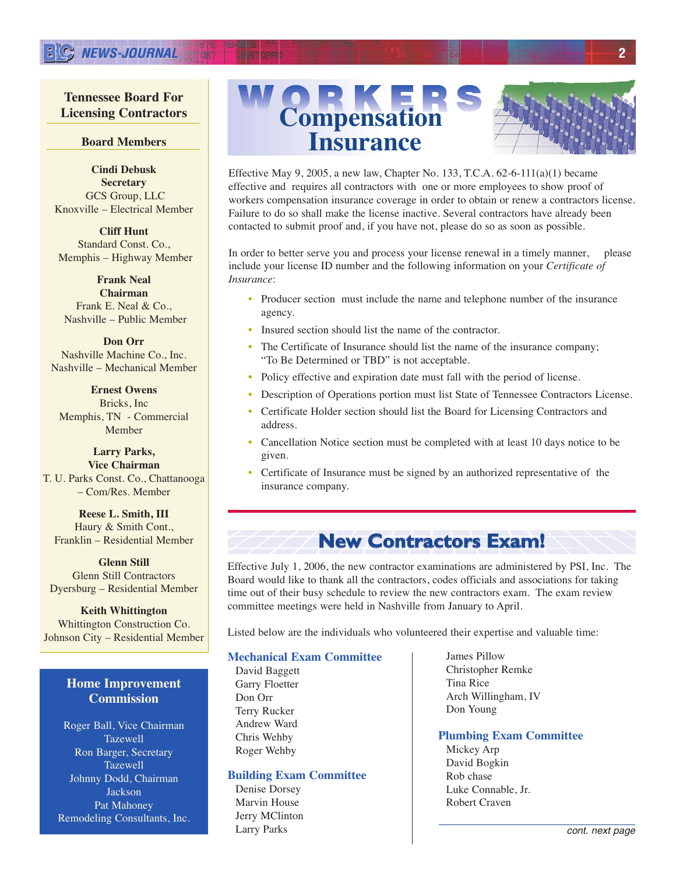#### **Tennessee Board For Licensing Contractors**

#### **Board Members**

**Cindi Debusk Secretary** GCS Group, LLC Knoxville – Electrical Member

**Cliff Hunt** Standard Const. Co., Memphis – Highway Member

**Frank Neal Chairman** Frank E. Neal & Co., Nashville – Public Member

**Don Orr** Nashville Machine Co., Inc. Nashville – Mechanical Member

**Ernest Owens** Bricks, Inc Memphis, TN - Commercial Member

**Larry Parks, Vice Chairman** T. U. Parks Const. Co., Chattanooga – Com/Res. Member

**Reese L. Smith, III** Haury & Smith Cont., Franklin – Residential Member

**Glenn Still** Glenn Still Contractors Dyersburg – Residential Member

**Keith Whittington** Whittington Construction Co. Johnson City – Residential Member

#### **Home Improvement Commission**

Roger Ball, Vice Chairman Tazewell Ron Barger, Secretary Tazewell Johnny Dodd, Chairman Jackson Pat Mahoney Remodeling Consultants, Inc.

# **Compensation Insurance**

Effective May 9, 2005, a new law, Chapter No. 133, T.C.A. 62-6-111(a)(1) became effective and requires all contractors with one or more employees to show proof of workers compensation insurance coverage in order to obtain or renew a contractors license. Failure to do so shall make the license inactive. Several contractors have already been contacted to submit proof and, if you have not, please do so as soon as possible.

In order to better serve you and process your license renewal in a timely manner, please include your license ID number and the following information on your *Certificate of Insurance*:

- Producer section must include the name and telephone number of the insurance agency.
- Insured section should list the name of the contractor.
- The Certificate of Insurance should list the name of the insurance company; "To Be Determined or TBD" is not acceptable.
- Policy effective and expiration date must fall with the period of license.
- Description of Operations portion must list State of Tennessee Contractors License.
- Certificate Holder section should list the Board for Licensing Contractors and address.
- Cancellation Notice section must be completed with at least 10 days notice to be given.
- Certificate of Insurance must be signed by an authorized representative of the insurance company.

## **New Contractors Exam!**

Effective July 1, 2006, the new contractor examinations are administered by PSI, Inc. The Board would like to thank all the contractors, codes officials and associations for taking time out of their busy schedule to review the new contractors exam. The exam review committee meetings were held in Nashville from January to April.

Listed below are the individuals who volunteered their expertise and valuable time:

#### **Mechanical Exam Committee**

David Baggett Garry Floetter Don Orr Terry Rucker Andrew Ward Chris Wehby Roger Wehby

#### **Building Exam Committee**

Denise Dorsey Marvin House Jerry MClinton Larry Parks

James Pillow Christopher Remke Tina Rice Arch Willingham, IV Don Young

#### **Plumbing Exam Committee**

Mickey Arp David Bogkin Rob chase Luke Connable, Jr. Robert Craven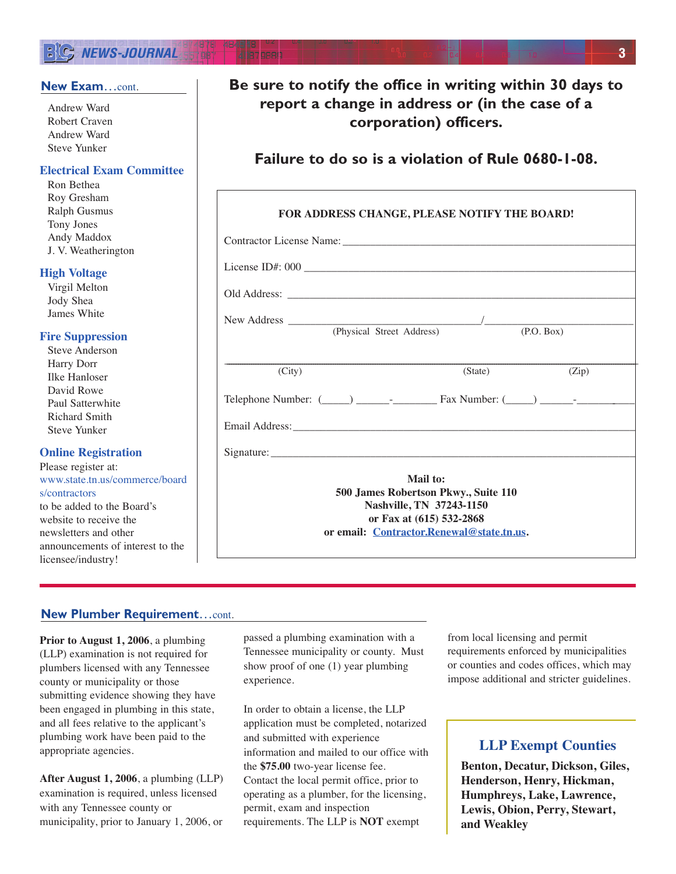### **EXC NEWS-JOURNAL 3**

#### **New Exam**…cont.

Andrew Ward Robert Craven Andrew Ward Steve Yunker

#### **Electrical Exam Committee**

Ron Bethea Roy Gresham Ralph Gusmus Tony Jones Andy Maddox J. V. Weatherington

#### **High Voltage**

Virgil Melton Jody Shea James White

#### **Fire Suppression**

Steve Anderson Harry Dorr Ilke Hanloser David Rowe Paul Satterwhite Richard Smith Steve Yunker

#### **Online Registration**

Please register at: www.state.tn.us/commerce/board s/contractors to be added to the Board's website to receive the newsletters and other announcements of interest to the licensee/industry!

## **Be sure to notify the office in writing within 30 days to report a change in address or (in the case of a corporation) officers.**

### **Failure to do so is a violation of Rule 0680-1-08.**

| FOR ADDRESS CHANGE, PLEASE NOTIFY THE BOARD!                                                                                                                                                                                   |         |       |  |  |
|--------------------------------------------------------------------------------------------------------------------------------------------------------------------------------------------------------------------------------|---------|-------|--|--|
| Contractor License Name: University of the Contractor Contractor Contractor Contractor Contractor Contractor Contractor Contractor Contractor Contractor Contractor Contractor Contractor Contractor Contractor Contractor Con |         |       |  |  |
| License ID#: 000                                                                                                                                                                                                               |         |       |  |  |
|                                                                                                                                                                                                                                |         |       |  |  |
|                                                                                                                                                                                                                                |         |       |  |  |
|                                                                                                                                                                                                                                |         |       |  |  |
|                                                                                                                                                                                                                                |         |       |  |  |
| (City)                                                                                                                                                                                                                         | (State) | (Zip) |  |  |
|                                                                                                                                                                                                                                |         |       |  |  |
|                                                                                                                                                                                                                                |         |       |  |  |
| Mail to:<br>500 James Robertson Pkwy., Suite 110<br>Nashville, TN 37243-1150                                                                                                                                                   |         |       |  |  |
|                                                                                                                                                                                                                                |         |       |  |  |

#### **New Plumber Requirement**…cont.

**Prior to August 1, 2006**, a plumbing (LLP) examination is not required for plumbers licensed with any Tennessee county or municipality or those submitting evidence showing they have been engaged in plumbing in this state, and all fees relative to the applicant's plumbing work have been paid to the appropriate agencies.

**After August 1, 2006**, a plumbing (LLP) examination is required, unless licensed with any Tennessee county or municipality, prior to January 1, 2006, or

passed a plumbing examination with a Tennessee municipality or county. Must show proof of one (1) year plumbing experience.

In order to obtain a license, the LLP application must be completed, notarized and submitted with experience information and mailed to our office with the **\$75.00** two-year license fee. Contact the local permit office, prior to operating as a plumber, for the licensing, permit, exam and inspection requirements. The LLP is **NOT** exempt

from local licensing and permit requirements enforced by municipalities or counties and codes offices, which may impose additional and stricter guidelines.

#### **LLP Exempt Counties**

**Benton, Decatur, Dickson, Giles, Henderson, Henry, Hickman, Humphreys, Lake, Lawrence, Lewis, Obion, Perry, Stewart, and Weakley**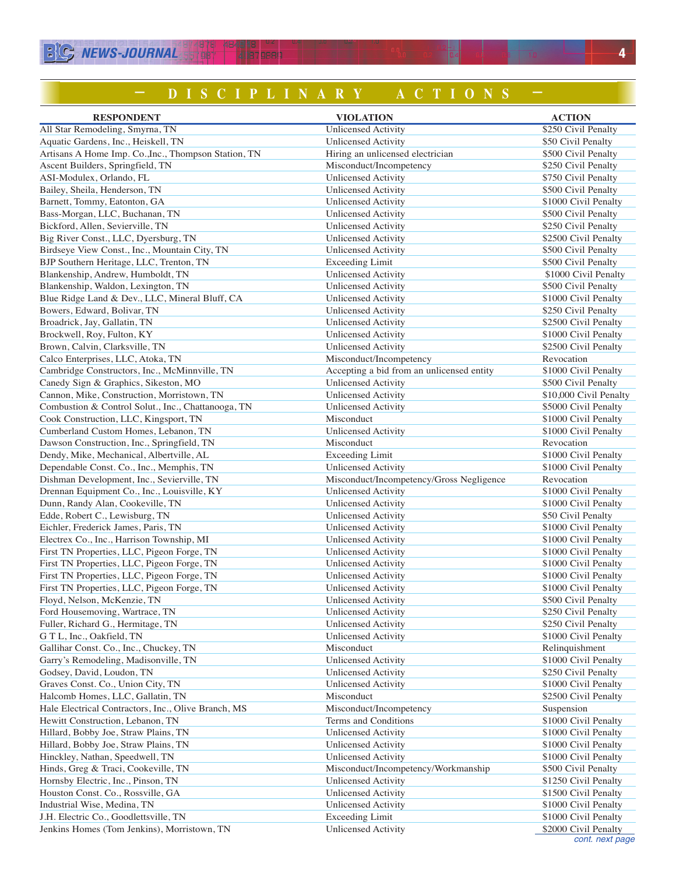## **— DISCIPLINARY ACTIONS —**

| <b>RESPONDENT</b>                                                                  | <b>VIOLATION</b>                          | <b>ACTION</b>          |
|------------------------------------------------------------------------------------|-------------------------------------------|------------------------|
| All Star Remodeling, Smyrna, TN                                                    | <b>Unlicensed Activity</b>                | \$250 Civil Penalty    |
| Aquatic Gardens, Inc., Heiskell, TN                                                | <b>Unlicensed Activity</b>                | \$50 Civil Penalty     |
| Artisans A Home Imp. Co., Inc., Thompson Station, TN                               | Hiring an unlicensed electrician          | \$500 Civil Penalty    |
| Ascent Builders, Springfield, TN                                                   | Misconduct/Incompetency                   | \$250 Civil Penalty    |
| ASI-Modulex, Orlando, FL                                                           | <b>Unlicensed Activity</b>                | \$750 Civil Penalty    |
| Bailey, Sheila, Henderson, TN                                                      | <b>Unlicensed Activity</b>                | \$500 Civil Penalty    |
| Barnett, Tommy, Eatonton, GA                                                       | <b>Unlicensed Activity</b>                | \$1000 Civil Penalty   |
| Bass-Morgan, LLC, Buchanan, TN                                                     | <b>Unlicensed Activity</b>                | \$500 Civil Penalty    |
| Bickford, Allen, Sevierville, TN                                                   | <b>Unlicensed Activity</b>                | \$250 Civil Penalty    |
| Big River Const., LLC, Dyersburg, TN                                               | <b>Unlicensed Activity</b>                | \$2500 Civil Penalty   |
| Birdseye View Const., Inc., Mountain City, TN                                      | <b>Unlicensed Activity</b>                | \$500 Civil Penalty    |
| BJP Southern Heritage, LLC, Trenton, TN                                            | <b>Exceeding Limit</b>                    | \$500 Civil Penalty    |
| Blankenship, Andrew, Humboldt, TN                                                  | <b>Unlicensed Activity</b>                | \$1000 Civil Penalty   |
| Blankenship, Waldon, Lexington, TN                                                 | <b>Unlicensed Activity</b>                | \$500 Civil Penalty    |
| Blue Ridge Land & Dev., LLC, Mineral Bluff, CA                                     | <b>Unlicensed Activity</b>                | \$1000 Civil Penalty   |
| Bowers, Edward, Bolivar, TN                                                        | <b>Unlicensed Activity</b>                | \$250 Civil Penalty    |
| Broadrick, Jay, Gallatin, TN                                                       | <b>Unlicensed Activity</b>                | \$2500 Civil Penalty   |
| Brockwell, Roy, Fulton, KY                                                         | <b>Unlicensed Activity</b>                | \$1000 Civil Penalty   |
| Brown, Calvin, Clarksville, TN                                                     | <b>Unlicensed Activity</b>                | \$2500 Civil Penalty   |
| Calco Enterprises, LLC, Atoka, TN                                                  | Misconduct/Incompetency                   | Revocation             |
| Cambridge Constructors, Inc., McMinnville, TN                                      | Accepting a bid from an unlicensed entity | \$1000 Civil Penalty   |
|                                                                                    | <b>Unlicensed Activity</b>                | \$500 Civil Penalty    |
| Canedy Sign & Graphics, Sikeston, MO<br>Cannon, Mike, Construction, Morristown, TN | <b>Unlicensed Activity</b>                | \$10,000 Civil Penalty |
| Combustion & Control Solut., Inc., Chattanooga, TN                                 | <b>Unlicensed Activity</b>                | \$5000 Civil Penalty   |
|                                                                                    | Misconduct                                | \$1000 Civil Penalty   |
| Cook Construction, LLC, Kingsport, TN                                              | <b>Unlicensed Activity</b>                | \$1000 Civil Penalty   |
| Cumberland Custom Homes, Lebanon, TN                                               |                                           |                        |
| Dawson Construction, Inc., Springfield, TN                                         | Misconduct                                | Revocation             |
| Dendy, Mike, Mechanical, Albertville, AL                                           | <b>Exceeding Limit</b>                    | \$1000 Civil Penalty   |
| Dependable Const. Co., Inc., Memphis, TN                                           | <b>Unlicensed Activity</b>                | \$1000 Civil Penalty   |
| Dishman Development, Inc., Sevierville, TN                                         | Misconduct/Incompetency/Gross Negligence  | Revocation             |
| Drennan Equipment Co., Inc., Louisville, KY                                        | <b>Unlicensed Activity</b>                | \$1000 Civil Penalty   |
| Dunn, Randy Alan, Cookeville, TN                                                   | <b>Unlicensed Activity</b>                | \$1000 Civil Penalty   |
| Edde, Robert C., Lewisburg, TN                                                     | <b>Unlicensed Activity</b>                | \$50 Civil Penalty     |
| Eichler, Frederick James, Paris, TN                                                | <b>Unlicensed Activity</b>                | \$1000 Civil Penalty   |
| Electrex Co., Inc., Harrison Township, MI                                          | <b>Unlicensed Activity</b>                | \$1000 Civil Penalty   |
| First TN Properties, LLC, Pigeon Forge, TN                                         | <b>Unlicensed Activity</b>                | \$1000 Civil Penalty   |
| First TN Properties, LLC, Pigeon Forge, TN                                         | <b>Unlicensed Activity</b>                | \$1000 Civil Penalty   |
| First TN Properties, LLC, Pigeon Forge, TN                                         | <b>Unlicensed Activity</b>                | \$1000 Civil Penalty   |
| First TN Properties, LLC, Pigeon Forge, TN                                         | <b>Unlicensed Activity</b>                | \$1000 Civil Penalty   |
| Floyd, Nelson, McKenzie, TN                                                        | <b>Unlicensed Activity</b>                | \$500 Civil Penalty    |
| Ford Housemoving, Wartrace, TN                                                     | <b>Unlicensed Activity</b>                | \$250 Civil Penalty    |
| Fuller, Richard G., Hermitage, TN                                                  | <b>Unlicensed Activity</b>                | \$250 Civil Penalty    |
| GTL, Inc., Oakfield, TN                                                            | <b>Unlicensed Activity</b>                | \$1000 Civil Penalty   |
| Gallihar Const. Co., Inc., Chuckey, TN                                             | Misconduct                                | Relinquishment         |
| Garry's Remodeling, Madisonville, TN                                               | <b>Unlicensed Activity</b>                | \$1000 Civil Penalty   |
| Godsey, David, Loudon, TN                                                          | <b>Unlicensed Activity</b>                | \$250 Civil Penalty    |
| Graves Const. Co., Union City, TN                                                  | <b>Unlicensed Activity</b>                | \$1000 Civil Penalty   |
| Halcomb Homes, LLC, Gallatin, TN                                                   | Misconduct                                | \$2500 Civil Penalty   |
| Hale Electrical Contractors, Inc., Olive Branch, MS                                | Misconduct/Incompetency                   | Suspension             |
| Hewitt Construction, Lebanon, TN                                                   | Terms and Conditions                      | \$1000 Civil Penalty   |
| Hillard, Bobby Joe, Straw Plains, TN                                               | <b>Unlicensed Activity</b>                | \$1000 Civil Penalty   |
| Hillard, Bobby Joe, Straw Plains, TN                                               | <b>Unlicensed Activity</b>                | \$1000 Civil Penalty   |
| Hinckley, Nathan, Speedwell, TN                                                    | <b>Unlicensed Activity</b>                | \$1000 Civil Penalty   |
| Hinds, Greg & Traci, Cookeville, TN                                                | Misconduct/Incompetency/Workmanship       | \$500 Civil Penalty    |
| Hornsby Electric, Inc., Pinson, TN                                                 | Unlicensed Activity                       | \$1250 Civil Penalty   |
| Houston Const. Co., Rossville, GA                                                  | <b>Unlicensed Activity</b>                | \$1500 Civil Penalty   |
| Industrial Wise, Medina, TN                                                        | <b>Unlicensed Activity</b>                | \$1000 Civil Penalty   |
| J.H. Electric Co., Goodlettsville, TN                                              | <b>Exceeding Limit</b>                    | \$1000 Civil Penalty   |
| Jenkins Homes (Tom Jenkins), Morristown, TN                                        | <b>Unlicensed Activity</b>                | \$2000 Civil Penalty   |

cont. next page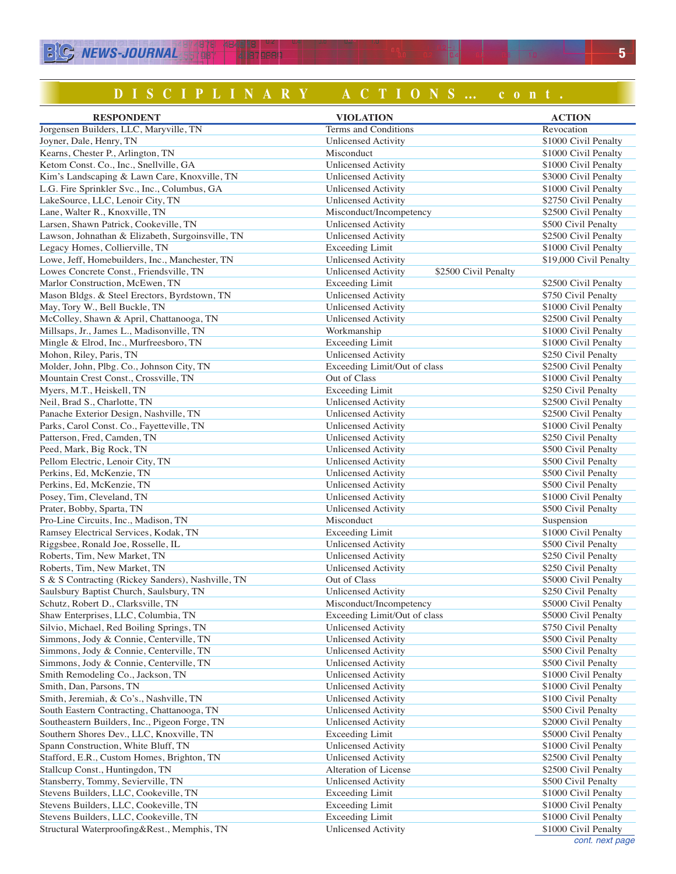## **DISCIPLINARY ACTIONS… cont.**

| <b>RESPONDENT</b>                                 | <b>VIOLATION</b>                                   | <b>ACTION</b>          |
|---------------------------------------------------|----------------------------------------------------|------------------------|
| Jorgensen Builders, LLC, Maryville, TN            | Terms and Conditions                               | Revocation             |
| Joyner, Dale, Henry, TN                           | <b>Unlicensed Activity</b>                         | \$1000 Civil Penalty   |
| Kearns, Chester P., Arlington, TN                 | Misconduct                                         | \$1000 Civil Penalty   |
| Ketom Const. Co., Inc., Snellville, GA            | <b>Unlicensed Activity</b>                         | \$1000 Civil Penalty   |
| Kim's Landscaping & Lawn Care, Knoxville, TN      | <b>Unlicensed Activity</b>                         | \$3000 Civil Penalty   |
| L.G. Fire Sprinkler Svc., Inc., Columbus, GA      | <b>Unlicensed Activity</b>                         | \$1000 Civil Penalty   |
| LakeSource, LLC, Lenoir City, TN                  | <b>Unlicensed Activity</b>                         | \$2750 Civil Penalty   |
| Lane, Walter R., Knoxville, TN                    | Misconduct/Incompetency                            | \$2500 Civil Penalty   |
| Larsen, Shawn Patrick, Cookeville, TN             | <b>Unlicensed Activity</b>                         | \$500 Civil Penalty    |
| Lawson, Johnathan & Elizabeth, Surgoinsville, TN  | <b>Unlicensed Activity</b>                         | \$2500 Civil Penalty   |
| Legacy Homes, Collierville, TN                    | <b>Exceeding Limit</b>                             | \$1000 Civil Penalty   |
| Lowe, Jeff, Homebuilders, Inc., Manchester, TN    | <b>Unlicensed Activity</b>                         | \$19,000 Civil Penalty |
| Lowes Concrete Const., Friendsville, TN           | <b>Unlicensed Activity</b><br>\$2500 Civil Penalty |                        |
| Marlor Construction, McEwen, TN                   | <b>Exceeding Limit</b>                             | \$2500 Civil Penalty   |
| Mason Bldgs. & Steel Erectors, Byrdstown, TN      | <b>Unlicensed Activity</b>                         | \$750 Civil Penalty    |
| May, Tory W., Bell Buckle, TN                     | <b>Unlicensed Activity</b>                         | \$1000 Civil Penalty   |
| McColley, Shawn & April, Chattanooga, TN          | <b>Unlicensed Activity</b>                         | \$2500 Civil Penalty   |
| Millsaps, Jr., James L., Madisonville, TN         | Workmanship                                        | \$1000 Civil Penalty   |
| Mingle & Elrod, Inc., Murfreesboro, TN            | <b>Exceeding Limit</b>                             | \$1000 Civil Penalty   |
| Mohon, Riley, Paris, TN                           | <b>Unlicensed Activity</b>                         | \$250 Civil Penalty    |
| Molder, John, Plbg. Co., Johnson City, TN         | Exceeding Limit/Out of class                       | \$2500 Civil Penalty   |
| Mountain Crest Const., Crossville, TN             | Out of Class                                       | \$1000 Civil Penalty   |
| Myers, M.T., Heiskell, TN                         | <b>Exceeding Limit</b>                             | \$250 Civil Penalty    |
| Neil, Brad S., Charlotte, TN                      | <b>Unlicensed Activity</b>                         | \$2500 Civil Penalty   |
| Panache Exterior Design, Nashville, TN            | <b>Unlicensed Activity</b>                         | \$2500 Civil Penalty   |
| Parks, Carol Const. Co., Fayetteville, TN         | <b>Unlicensed Activity</b>                         | \$1000 Civil Penalty   |
| Patterson, Fred, Camden, TN                       | <b>Unlicensed Activity</b>                         | \$250 Civil Penalty    |
| Peed, Mark, Big Rock, TN                          | <b>Unlicensed Activity</b>                         | \$500 Civil Penalty    |
| Pellom Electric, Lenoir City, TN                  | <b>Unlicensed Activity</b>                         | \$500 Civil Penalty    |
| Perkins, Ed, McKenzie, TN                         | <b>Unlicensed Activity</b>                         | \$500 Civil Penalty    |
| Perkins, Ed, McKenzie, TN                         | <b>Unlicensed Activity</b>                         | \$500 Civil Penalty    |
| Posey, Tim, Cleveland, TN                         | <b>Unlicensed Activity</b>                         | \$1000 Civil Penalty   |
| Prater, Bobby, Sparta, TN                         | <b>Unlicensed Activity</b>                         | \$500 Civil Penalty    |
| Pro-Line Circuits, Inc., Madison, TN              | Misconduct                                         | Suspension             |
| Ramsey Electrical Services, Kodak, TN             | <b>Exceeding Limit</b>                             | \$1000 Civil Penalty   |
| Riggsbee, Ronald Joe, Rosselle, IL                | <b>Unlicensed Activity</b>                         | \$500 Civil Penalty    |
| Roberts, Tim, New Market, TN                      | <b>Unlicensed Activity</b>                         | \$250 Civil Penalty    |
| Roberts, Tim, New Market, TN                      | <b>Unlicensed Activity</b>                         | \$250 Civil Penalty    |
| S & S Contracting (Rickey Sanders), Nashville, TN | Out of Class                                       | \$5000 Civil Penalty   |
| Saulsbury Baptist Church, Saulsbury, TN           | <b>Unlicensed Activity</b>                         | \$250 Civil Penalty    |
| Schutz, Robert D., Clarksville, TN                | Misconduct/Incompetency                            | \$5000 Civil Penalty   |
| Shaw Enterprises, LLC, Columbia, TN               | Exceeding Limit/Out of class                       | \$5000 Civil Penalty   |
| Silvio, Michael, Red Boiling Springs, TN          | <b>Unlicensed Activity</b>                         | \$750 Civil Penalty    |
| Simmons, Jody & Connie, Centerville, TN           | <b>Unlicensed Activity</b>                         | \$500 Civil Penalty    |
| Simmons, Jody & Connie, Centerville, TN           | <b>Unlicensed Activity</b>                         | \$500 Civil Penalty    |
| Simmons, Jody & Connie, Centerville, TN           | <b>Unlicensed Activity</b>                         | \$500 Civil Penalty    |
| Smith Remodeling Co., Jackson, TN                 | <b>Unlicensed Activity</b>                         | \$1000 Civil Penalty   |
| Smith, Dan, Parsons, TN                           | <b>Unlicensed Activity</b>                         | \$1000 Civil Penalty   |
| Smith, Jeremiah, & Co's., Nashville, TN           | <b>Unlicensed Activity</b>                         | \$100 Civil Penalty    |
| South Eastern Contracting, Chattanooga, TN        | <b>Unlicensed Activity</b>                         | \$500 Civil Penalty    |
| Southeastern Builders, Inc., Pigeon Forge, TN     | <b>Unlicensed Activity</b>                         | \$2000 Civil Penalty   |
| Southern Shores Dev., LLC, Knoxville, TN          | <b>Exceeding Limit</b>                             | \$5000 Civil Penalty   |
| Spann Construction, White Bluff, TN               | <b>Unlicensed Activity</b>                         | \$1000 Civil Penalty   |
| Stafford, E.R., Custom Homes, Brighton, TN        | <b>Unlicensed Activity</b>                         | \$2500 Civil Penalty   |
| Stallcup Const., Huntingdon, TN                   | Alteration of License                              | \$2500 Civil Penalty   |
| Stansberry, Tommy, Sevierville, TN                | <b>Unlicensed Activity</b>                         | \$500 Civil Penalty    |
|                                                   |                                                    | \$1000 Civil Penalty   |
| Stevens Builders, LLC, Cookeville, TN             | <b>Exceeding Limit</b>                             |                        |
| Stevens Builders, LLC, Cookeville, TN             | <b>Exceeding Limit</b>                             | \$1000 Civil Penalty   |
| Stevens Builders, LLC, Cookeville, TN             | <b>Exceeding Limit</b>                             | \$1000 Civil Penalty   |
| Structural Waterproofing&Rest., Memphis, TN       | <b>Unlicensed Activity</b>                         | \$1000 Civil Penalty   |

cont. next page